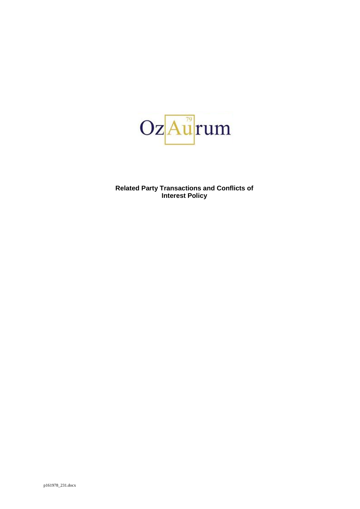

**Related Party Transactions and Conflicts of Interest Policy**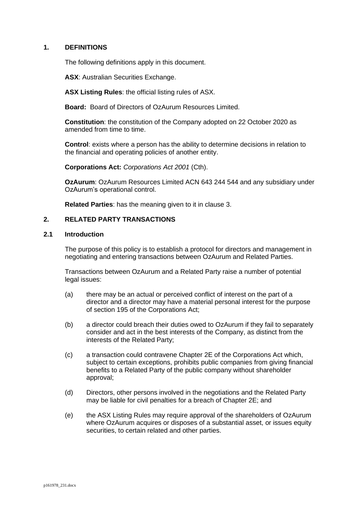## **1. DEFINITIONS**

The following definitions apply in this document.

**ASX**: Australian Securities Exchange.

**ASX Listing Rules**: the official listing rules of ASX.

**Board:** Board of Directors of OzAurum Resources Limited.

**Constitution**: the constitution of the Company adopted on 22 October 2020 as amended from time to time.

**Control**: exists where a person has the ability to determine decisions in relation to the financial and operating policies of another entity.

**Corporations Act:** *Corporations Act 2001* (Cth).

**OzAurum**: OzAurum Resources Limited ACN 643 244 544 and any subsidiary under OzAurum's operational control.

**Related Parties**: has the meaning given to it in clause [3.](#page-2-0)

### **2. RELATED PARTY TRANSACTIONS**

### **2.1 Introduction**

The purpose of this policy is to establish a protocol for directors and management in negotiating and entering transactions between OzAurum and Related Parties.

Transactions between OzAurum and a Related Party raise a number of potential legal issues:

- (a) there may be an actual or perceived conflict of interest on the part of a director and a director may have a material personal interest for the purpose of section 195 of the Corporations Act;
- (b) a director could breach their duties owed to OzAurum if they fail to separately consider and act in the best interests of the Company, as distinct from the interests of the Related Party;
- (c) a transaction could contravene Chapter 2E of the Corporations Act which, subject to certain exceptions, prohibits public companies from giving financial benefits to a Related Party of the public company without shareholder approval;
- (d) Directors, other persons involved in the negotiations and the Related Party may be liable for civil penalties for a breach of Chapter 2E; and
- (e) the ASX Listing Rules may require approval of the shareholders of OzAurum where OzAurum acquires or disposes of a substantial asset, or issues equity securities, to certain related and other parties.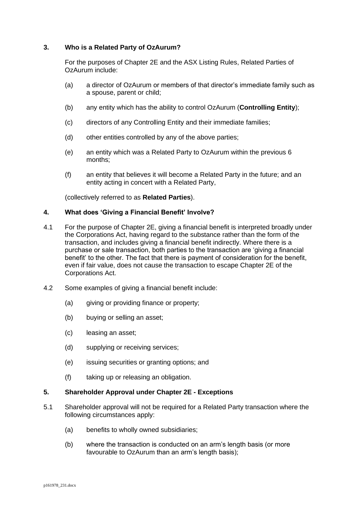## **3. Who is a Related Party of OzAurum?**

<span id="page-2-0"></span>For the purposes of Chapter 2E and the ASX Listing Rules, Related Parties of OzAurum include:

- (a) a director of OzAurum or members of that director's immediate family such as a spouse, parent or child;
- (b) any entity which has the ability to control OzAurum (**Controlling Entity**);
- (c) directors of any Controlling Entity and their immediate families;
- (d) other entities controlled by any of the above parties;
- (e) an entity which was a Related Party to OzAurum within the previous 6 months;
- (f) an entity that believes it will become a Related Party in the future; and an entity acting in concert with a Related Party,

(collectively referred to as **Related Parties**).

## **4. What does 'Giving a Financial Benefit' Involve?**

- 4.1 For the purpose of Chapter 2E, giving a financial benefit is interpreted broadly under the Corporations Act, having regard to the substance rather than the form of the transaction, and includes giving a financial benefit indirectly. Where there is a purchase or sale transaction, both parties to the transaction are 'giving a financial benefit' to the other. The fact that there is payment of consideration for the benefit, even if fair value, does not cause the transaction to escape Chapter 2E of the Corporations Act.
- 4.2 Some examples of giving a financial benefit include:
	- (a) giving or providing finance or property;
	- (b) buying or selling an asset;
	- (c) leasing an asset;
	- (d) supplying or receiving services;
	- (e) issuing securities or granting options; and
	- (f) taking up or releasing an obligation.

### **5. Shareholder Approval under Chapter 2E - Exceptions**

- 5.1 Shareholder approval will not be required for a Related Party transaction where the following circumstances apply:
	- (a) benefits to wholly owned subsidiaries;
	- (b) where the transaction is conducted on an arm's length basis (or more favourable to OzAurum than an arm's length basis);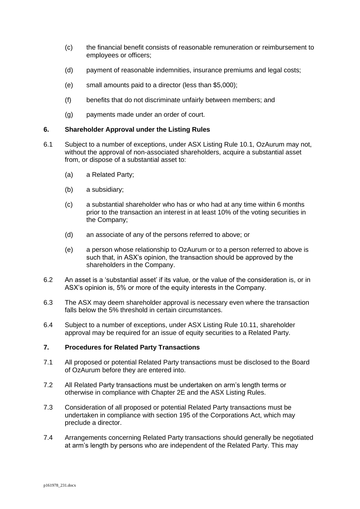- (c) the financial benefit consists of reasonable remuneration or reimbursement to employees or officers;
- (d) payment of reasonable indemnities, insurance premiums and legal costs;
- (e) small amounts paid to a director (less than \$5,000);
- (f) benefits that do not discriminate unfairly between members; and
- (g) payments made under an order of court.

### **6. Shareholder Approval under the Listing Rules**

- 6.1 Subject to a number of exceptions, under ASX Listing Rule 10.1, OzAurum may not, without the approval of non-associated shareholders, acquire a substantial asset from, or dispose of a substantial asset to:
	- (a) a Related Party;
	- (b) a subsidiary;
	- (c) a substantial shareholder who has or who had at any time within 6 months prior to the transaction an interest in at least 10% of the voting securities in the Company;
	- (d) an associate of any of the persons referred to above; or
	- (e) a person whose relationship to OzAurum or to a person referred to above is such that, in ASX's opinion, the transaction should be approved by the shareholders in the Company.
- 6.2 An asset is a 'substantial asset' if its value, or the value of the consideration is, or in ASX's opinion is, 5% or more of the equity interests in the Company.
- 6.3 The ASX may deem shareholder approval is necessary even where the transaction falls below the 5% threshold in certain circumstances.
- 6.4 Subject to a number of exceptions, under ASX Listing Rule 10.11, shareholder approval may be required for an issue of equity securities to a Related Party.

# **7. Procedures for Related Party Transactions**

- 7.1 All proposed or potential Related Party transactions must be disclosed to the Board of OzAurum before they are entered into.
- 7.2 All Related Party transactions must be undertaken on arm's length terms or otherwise in compliance with Chapter 2E and the ASX Listing Rules.
- 7.3 Consideration of all proposed or potential Related Party transactions must be undertaken in compliance with section 195 of the Corporations Act, which may preclude a director.
- 7.4 Arrangements concerning Related Party transactions should generally be negotiated at arm's length by persons who are independent of the Related Party. This may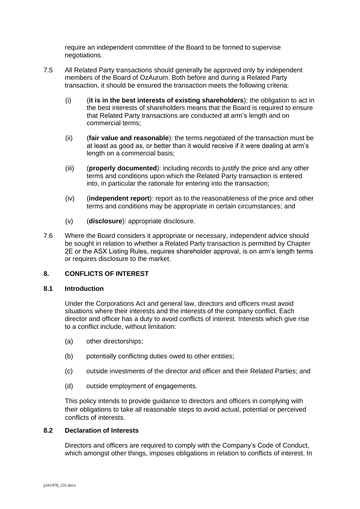require an independent committee of the Board to be formed to supervise negotiations.

- 7.5 All Related Party transactions should generally be approved only by independent members of the Board of OzAurum. Both before and during a Related Party transaction, it should be ensured the transaction meets the following criteria:
	- (i) (**it is in the best interests of existing shareholders**): the obligation to act in the best interests of shareholders means that the Board is required to ensure that Related Party transactions are conducted at arm's length and on commercial terms;
	- (ii) (**fair value and reasonable**): the terms negotiated of the transaction must be at least as good as, or better than it would receive if it were dealing at arm's length on a commercial basis;
	- (iii) (**properly documented**): including records to justify the price and any other terms and conditions upon which the Related Party transaction is entered into, in particular the rationale for entering into the transaction;
	- (iv) (**independent report**): report as to the reasonableness of the price and other terms and conditions may be appropriate in certain circumstances; and
	- (v) (**disclosure**): appropriate disclosure.
- 7.6 Where the Board considers it appropriate or necessary, independent advice should be sought in relation to whether a Related Party transaction is permitted by Chapter 2E or the ASX Listing Rules, requires shareholder approval, is on arm's length terms or requires disclosure to the market.

## **8. CONFLICTS OF INTEREST**

### **8.1 Introduction**

Under the Corporations Act and general law, directors and officers must avoid situations where their interests and the interests of the company conflict. Each director and officer has a duty to avoid conflicts of interest. Interests which give rise to a conflict include, without limitation:

- (a) other directorships;
- (b) potentially conflicting duties owed to other entities;
- (c) outside investments of the director and officer and their Related Parties; and
- (d) outside employment of engagements.

This policy intends to provide guidance to directors and officers in complying with their obligations to take all reasonable steps to avoid actual, potential or perceived conflicts of interests.

## **8.2 Declaration of Interests**

Directors and officers are required to comply with the Company's Code of Conduct, which amongst other things, imposes obligations in relation to conflicts of interest. In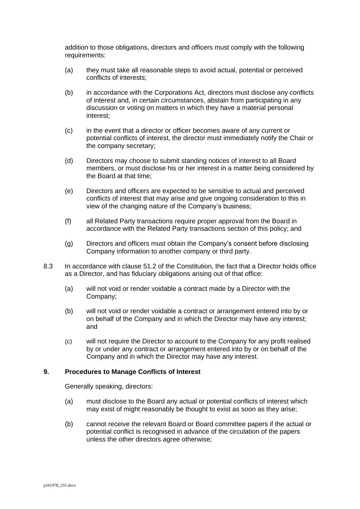addition to those obligations, directors and officers must comply with the following requirements:

- (a) they must take all reasonable steps to avoid actual, potential or perceived conflicts of interests;
- (b) in accordance with the Corporations Act, directors must disclose any conflicts of interest and, in certain circumstances, abstain from participating in any discussion or voting on matters in which they have a material personal interest;
- (c) in the event that a director or officer becomes aware of any current or potential conflicts of interest, the director must immediately notify the Chair or the company secretary;
- (d) Directors may choose to submit standing notices of interest to all Board members, or must disclose his or her interest in a matter being considered by the Board at that time;
- (e) Directors and officers are expected to be sensitive to actual and perceived conflicts of interest that may arise and give ongoing consideration to this in view of the changing nature of the Company's business;
- (f) all Related Party transactions require proper approval from the Board in accordance with the Related Party transactions section of this policy; and
- (g) Directors and officers must obtain the Company's consent before disclosing Company information to another company or third party.
- 8.3 In accordance with clause 51.2 of the Constitution, the fact that a Director holds office as a Director, and has fiduciary obligations arising out of that office:
	- (a) will not void or render voidable a contract made by a Director with the Company;
	- (b) will not void or render voidable a contract or arrangement entered into by or on behalf of the Company and in which the Director may have any interest; and
	- (c) will not require the Director to account to the Company for any profit realised by or under any contract or arrangement entered into by or on behalf of the Company and in which the Director may have any interest.

### **9. Procedures to Manage Conflicts of Interest**

Generally speaking, directors:

- (a) must disclose to the Board any actual or potential conflicts of interest which may exist of might reasonably be thought to exist as soon as they arise;
- (b) cannot receive the relevant Board or Board committee papers if the actual or potential conflict is recognised in advance of the circulation of the papers unless the other directors agree otherwise;